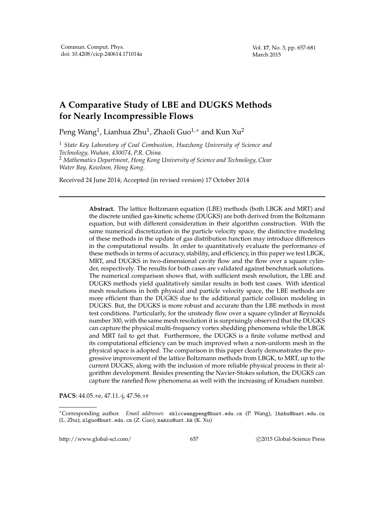# **A Comparative Study of LBE and DUGKS Methods for Nearly Incompressible Flows**

Peng Wang $^1$ , Lianhua Zhu $^1$ , Zhaoli Guo $^{1,\ast}$  and Kun Xu $^2$ 

<sup>1</sup> *State Key Laboratory of Coal Combustion, Huazhong University of Science and Technology, Wuhan, 430074, P.R. China.*

<sup>2</sup> *Mathematics Department, Hong Kong University of Science and Technology, Clear Water Bay, Kowloon, Hong Kong.*

Received 24 June 2014; Accepted (in revised version) 17 October 2014

**Abstract.** The lattice Boltzmann equation (LBE) methods (both LBGK and MRT) and the discrete unified gas-kinetic scheme (DUGKS) are both derived from the Boltzmann equation, but with different consideration in their algorithm construction. With the same numerical discretization in the particle velocity space, the distinctive modeling of these methods in the update of gas distribution function may introduce differences in the computational results. In order to quantitatively evaluate the performance of these methods in terms of accuracy, stability, and efficiency, in this paper we test LBGK, MRT, and DUGKS in two-dimensional cavity flow and the flow over a square cylinder, respectively. The results for both cases are validated against benchmark solutions. The numerical comparison shows that, with sufficient mesh resolution, the LBE and DUGKS methods yield qualitatively similar results in both test cases. With identical mesh resolutions in both physical and particle velocity space, the LBE methods are more efficient than the DUGKS due to the additional particle collision modeling in DUGKS. But, the DUGKS is more robust and accurate than the LBE methods in most test conditions. Particularly, for the unsteady flow over a square cylinder at Reynolds number 300, with the same mesh resolution it is surprisingly observed that the DUGKS can capture the physical multi-frequency vortex shedding phenomena while the LBGK and MRT fail to get that. Furthermore, the DUGKS is a finite volume method and its computational efficiency can be much improved when a non-uniform mesh in the physical space is adopted. The comparison in this paper clearly demonstrates the progressive improvement of the lattice Boltzmann methods from LBGK, to MRT, up to the current DUGKS, along with the inclusion of more reliable physical process in their algorithm development. Besides presenting the Navier-Stokes solution, the DUGKS can capture the rarefied flow phenomena as well with the increasing of Knudsen number.

**PACS**: 44.05.+e, 47.11.-j, 47.56.+r

http://www.global-sci.com/ 657 c 2015 Global-Science Press

<sup>∗</sup>Corresponding author. *Email addresses:* sklccwangpeng@hust.edu.cn (P. Wang), lhzhu@hust.edu.cn (L. Zhu), zlguo@hust.edu.cn (Z. Guo), makxu@ust.hk (K. Xu)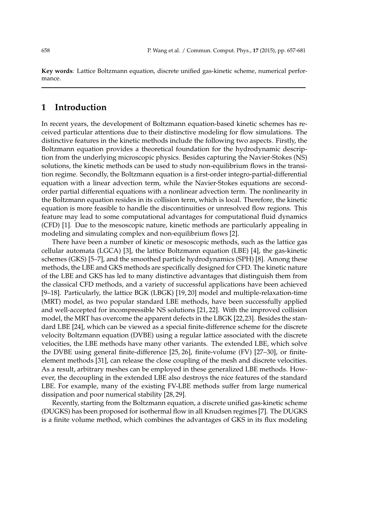**Key words**: Lattice Boltzmann equation, discrete unified gas-kinetic scheme, numerical performance.

# **1 Introduction**

In recent years, the development of Boltzmann equation-based kinetic schemes has received particular attentions due to their distinctive modeling for flow simulations. The distinctive features in the kinetic methods include the following two aspects. Firstly, the Boltzmann equation provides a theoretical foundation for the hydrodynamic description from the underlying microscopic physics. Besides capturing the Navier-Stokes (NS) solutions, the kinetic methods can be used to study non-equilibrium flows in the transition regime. Secondly, the Boltzmann equation is a first-order integro-partial-differential equation with a linear advection term, while the Navier-Stokes equations are secondorder partial differential equations with a nonlinear advection term. The nonlinearity in the Boltzmann equation resides in its collision term, which is local. Therefore, the kinetic equation is more feasible to handle the discontinuities or unresolved flow regions. This feature may lead to some computational advantages for computational fluid dynamics (CFD) [1]. Due to the mesoscopic nature, kinetic methods are particularly appealing in modeling and simulating complex and non-equilibrium flows [2].

There have been a number of kinetic or mesoscopic methods, such as the lattice gas cellular automata (LGCA) [3], the lattice Boltzmann equation (LBE) [4], the gas-kinetic schemes (GKS) [5–7], and the smoothed particle hydrodynamics (SPH) [8]. Among these methods, the LBE and GKS methods are specifically designed for CFD. The kinetic nature of the LBE and GKS has led to many distinctive advantages that distinguish them from the classical CFD methods, and a variety of successful applications have been achieved [9–18]. Particularly, the lattice BGK (LBGK) [19, 20] model and multiple-relaxation-time (MRT) model, as two popular standard LBE methods, have been successfully applied and well-accepted for incompressible NS solutions [21, 22]. With the improved collision model, the MRT has overcome the apparent defects in the LBGK [22,23]. Besides the standard LBE [24], which can be viewed as a special finite-difference scheme for the discrete velocity Boltzmann equation (DVBE) using a regular lattice associated with the discrete velocities, the LBE methods have many other variants. The extended LBE, which solve the DVBE using general finite-difference [25, 26], finite-volume (FV) [27–30], or finiteelement methods [31], can release the close coupling of the mesh and discrete velocities. As a result, arbitrary meshes can be employed in these generalized LBE methods. However, the decoupling in the extended LBE also destroys the nice features of the standard LBE. For example, many of the existing FV-LBE methods suffer from large numerical dissipation and poor numerical stability [28, 29].

Recently, starting from the Boltzmann equation, a discrete unified gas-kinetic scheme (DUGKS) has been proposed for isothermal flow in all Knudsen regimes [7]. The DUGKS is a finite volume method, which combines the advantages of GKS in its flux modeling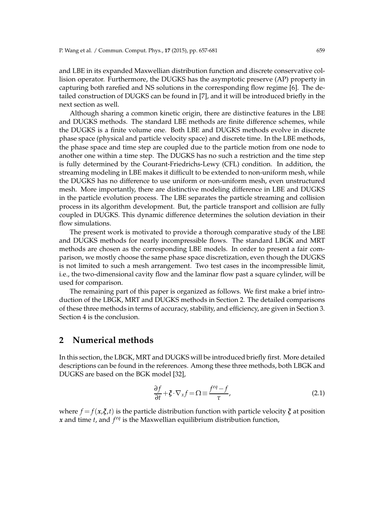and LBE in its expanded Maxwellian distribution function and discrete conservative collision operator. Furthermore, the DUGKS has the asymptotic preserve (AP) property in capturing both rarefied and NS solutions in the corresponding flow regime [6]. The detailed construction of DUGKS can be found in [7], and it will be introduced briefly in the next section as well.

Although sharing a common kinetic origin, there are distinctive features in the LBE and DUGKS methods. The standard LBE methods are finite difference schemes, while the DUGKS is a finite volume one. Both LBE and DUGKS methods evolve in discrete phase space (physical and particle velocity space) and discrete time. In the LBE methods, the phase space and time step are coupled due to the particle motion from one node to another one within a time step. The DUGKS has no such a restriction and the time step is fully determined by the Courant-Friedrichs-Lewy (CFL) condition. In addition, the streaming modeling in LBE makes it difficult to be extended to non-uniform mesh, while the DUGKS has no difference to use uniform or non-uniform mesh, even unstructured mesh. More importantly, there are distinctive modeling difference in LBE and DUGKS in the particle evolution process. The LBE separates the particle streaming and collision process in its algorithm development. But, the particle transport and collision are fully coupled in DUGKS. This dynamic difference determines the solution deviation in their flow simulations.

The present work is motivated to provide a thorough comparative study of the LBE and DUGKS methods for nearly incompressible flows. The standard LBGK and MRT methods are chosen as the corresponding LBE models. In order to present a fair comparison, we mostly choose the same phase space discretization, even though the DUGKS is not limited to such a mesh arrangement. Two test cases in the incompressible limit, i.e., the two-dimensional cavity flow and the laminar flow past a square cylinder, will be used for comparison.

The remaining part of this paper is organized as follows. We first make a brief introduction of the LBGK, MRT and DUGKS methods in Section 2. The detailed comparisons of these three methods in terms of accuracy, stability, and efficiency, are given in Section 3. Section 4 is the conclusion.

### **2 Numerical methods**

In this section, the LBGK, MRT and DUGKS will be introduced briefly first. More detailed descriptions can be found in the references. Among these three methods, both LBGK and DUGKS are based on the BGK model [32],

$$
\frac{\partial f}{\partial t} + \xi \cdot \nabla_x f = \Omega \equiv \frac{f^{eq} - f}{\tau},\tag{2.1}
$$

where  $f = f(x, \xi, t)$  is the particle distribution function with particle velocity  $\xi$  at position *x* and time *t*, and *f eq* is the Maxwellian equilibrium distribution function,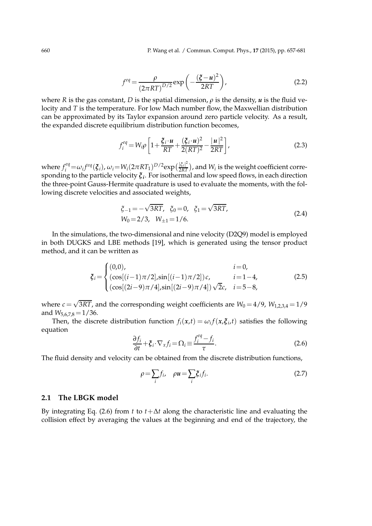660 P. Wang et al. / Commun. Comput. Phys., **17** (2015), pp. 657-681

$$
f^{eq} = \frac{\rho}{\left(2\pi RT\right)^{D/2}} \exp\left(-\frac{(\xi - u)^2}{2RT}\right),\tag{2.2}
$$

where *R* is the gas constant, *D* is the spatial dimension,  $\rho$  is the density,  $u$  is the fluid velocity and *T* is the temperature. For low Mach number flow, the Maxwellian distribution can be approximated by its Taylor expansion around zero particle velocity. As a result, the expanded discrete equilibrium distribution function becomes,

$$
f_i^{eq} = W_i \rho \left[ 1 + \frac{\xi_i \cdot u}{RT} + \frac{(\xi_i \cdot u)^2}{2(RT)^2} - \frac{|u|^2}{2RT} \right],
$$
 (2.3)

where  $f_i^{eq}\!=\!\omega_i f^{eq}(\boldsymbol{\xi}_i)$ ,  $\omega_i\!=\!W_i(2\pi RT_1)^{D/2}\!\exp(\frac{|\xi_i|^2}{2RT})$  $\frac{|G_i|^2}{2RT}$ ), and  $W_i$  is the weight coefficient corresponding to the particle velocity *ξi* . For isothermal and low speed flows, in each direction the three-point Gauss-Hermite quadrature is used to evaluate the moments, with the following discrete velocities and associated weights,

$$
\xi_{-1} = -\sqrt{3RT}, \quad \xi_0 = 0, \quad \xi_1 = \sqrt{3RT},
$$
  
\n
$$
W_0 = 2/3, \quad W_{\pm 1} = 1/6.
$$
\n(2.4)

In the simulations, the two-dimensional and nine velocity (D2Q9) model is employed in both DUGKS and LBE methods [19], which is generated using the tensor product method, and it can be written as

$$
\xi_{i} = \begin{cases}\n(0,0), & i=0, \\
(\cos[(i-1)\pi/2], \sin[(i-1)\pi/2])c, & i=1-4, \\
(\cos[(2i-9)\pi/4], \sin[(2i-9)\pi/4])\sqrt{2}c, & i=5-8,\n\end{cases}
$$
\n(2.5)

where  $c = \sqrt{3RT}$ , and the corresponding weight coefficients are  $W_0 = 4/9$ ,  $W_{1,2,3,4} = 1/9$ and  $W_{5,6,7,8} = 1/36$ .

Then, the discrete distribution function  $f_i(x,t) = \omega_i f(x,\xi_i,t)$  satisfies the following equation

$$
\frac{\partial f_i}{\partial t} + \zeta_i \cdot \nabla_x f_i = \Omega_i \equiv \frac{f_i^{eq} - f_i}{\tau}.
$$
\n(2.6)

The fluid density and velocity can be obtained from the discrete distribution functions,

$$
\rho = \sum_{i} f_i, \quad \rho u = \sum_{i} \xi_i f_i.
$$
\n(2.7)

### **2.1 The LBGK model**

By integrating Eq. (2.6) from *t* to  $t + \Delta t$  along the characteristic line and evaluating the collision effect by averaging the values at the beginning and end of the trajectory, the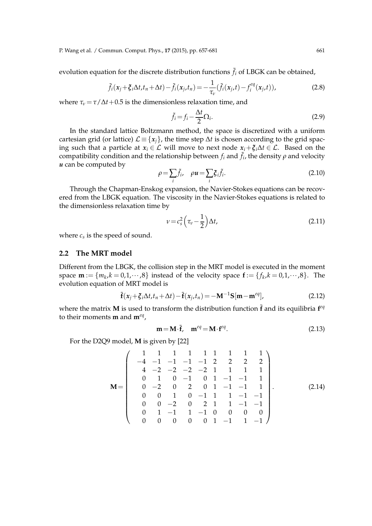evolution equation for the discrete distribution functions  $\tilde{f}_i$  of LBGK can be obtained,

$$
\tilde{f}_i(x_j+\xi_i\Delta t,t_n+\Delta t)-\tilde{f}_i(x_j,t_n)=-\frac{1}{\tau_v}(\tilde{f}_i(x_j,t)-f_i^{eq}(x_j,t)),\qquad(2.8)
$$

where  $\tau_v = \tau / \Delta t + 0.5$  is the dimensionless relaxation time, and

$$
\tilde{f}_i = f_i - \frac{\Delta t}{2} \Omega_i.
$$
\n(2.9)

In the standard lattice Boltzmann method, the space is discretized with a uniform cartesian grid (or lattice)  $\mathcal{L} \equiv \{x_i\}$ , the time step  $\Delta t$  is chosen according to the grid spacing such that a particle at  $x_i \in \mathcal{L}$  will move to next node  $x_i + \xi_i \Delta t \in \mathcal{L}$ . Based on the  $\alpha$  compatibility condition and the relationship between  $f_i$  and  $\tilde{f}_i$ , the density  $\rho$  and velocity *u* can be computed by

$$
\rho = \sum_{i} \tilde{f}_{i}, \quad \rho u = \sum_{i} \xi_{i} \tilde{f}_{i}.
$$
\n(2.10)

Through the Chapman-Enskog expansion, the Navier-Stokes equations can be recovered from the LBGK equation. The viscosity in the Navier-Stokes equations is related to the dimensionless relaxation time by

$$
\nu = c_s^2 \left( \tau_\nu - \frac{1}{2} \right) \Delta t,\tag{2.11}
$$

where  $c_s$  is the speed of sound.

### **2.2 The MRT model**

Different from the LBGK, the collision step in the MRT model is executed in the moment space  $\mathbf{m} := \{m_k, k = 0, 1, \dots, 8\}$  instead of the velocity space  $\mathbf{f} := \{f_k, k = 0, 1, \dots, 8\}$ . The evolution equation of MRT model is

$$
\tilde{\mathbf{f}}(x_j + \xi_i \Delta t, t_n + \Delta t) - \tilde{\mathbf{f}}(x_j, t_n) = -\mathbf{M}^{-1} \mathbf{S}[\mathbf{m} - \mathbf{m}^{eq}],
$$
\n(2.12)

where the matrix **M** is used to transform the distribution function  $\tilde{\mathbf{f}}$  and its equilibria  $\mathbf{f}^{eq}$ to their moments **m** and **m***eq* ,

$$
\mathbf{m} = \mathbf{M} \cdot \tilde{\mathbf{f}}, \quad \mathbf{m}^{eq} = \mathbf{M} \cdot \mathbf{f}^{eq}.
$$
 (2.13)

For the D2Q9 model, **M** is given by [22]

$$
\mathbf{M} = \begin{pmatrix}\n1 & 1 & 1 & 1 & 1 & 1 & 1 & 1 & 1 \\
-4 & -1 & -1 & -1 & -1 & 2 & 2 & 2 & 2 \\
4 & -2 & -2 & -2 & -2 & 1 & 1 & 1 & 1 \\
0 & 1 & 0 & -1 & 0 & 1 & -1 & -1 & 1 \\
0 & -2 & 0 & 2 & 0 & 1 & -1 & -1 & 1 \\
0 & 0 & -2 & 0 & 2 & 1 & 1 & -1 & -1 \\
0 & 0 & -2 & 0 & 2 & 1 & 1 & -1 & -1 \\
0 & 1 & -1 & 1 & -1 & 0 & 0 & 0 & 0 \\
0 & 0 & 0 & 0 & 0 & 1 & -1 & 1 & -1\n\end{pmatrix}.
$$
\n(2.14)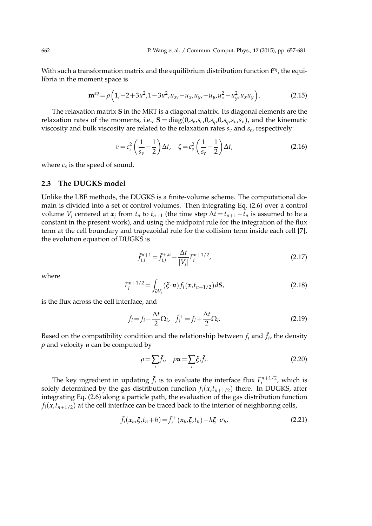With such a transformation matrix and the equilibrium distribution function  $f^{eq}$ , the equilibria in the moment space is

$$
\mathbf{m}^{eq} = \rho \left( 1, -2 + 3u^2, 1 - 3u^2, u_x, -u_x, u_y, -u_y, u_x^2 - u_y^2, u_x u_y \right). \tag{2.15}
$$

The relaxation matrix **S** in the MRT is a diagonal matrix. Its diagonal elements are the relaxation rates of the moments, i.e., **S** = diag(0,*s<sup>e</sup>* ,*sε* ,0,*sq*,0,*sq*,*sν*,*sν*), and the kinematic viscosity and bulk viscosity are related to the relaxation rates *s<sup>ν</sup>* and *s<sup>e</sup>* , respectively:

$$
\nu = c_s^2 \left(\frac{1}{s_\nu} - \frac{1}{2}\right) \Delta t, \quad \zeta = c_s^2 \left(\frac{1}{s_e} - \frac{1}{2}\right) \Delta t,\tag{2.16}
$$

where  $c_s$  is the speed of sound.

### **2.3 The DUGKS model**

Unlike the LBE methods, the DUGKS is a finite-volume scheme. The computational domain is divided into a set of control volumes. Then integrating Eq. (2.6) over a control volume *V*<sub>*j*</sub> centered at *x*<sub>*j*</sub> from *t*<sub>*n*</sub> to *t*<sub>*n*+1</sub> (the time step  $\Delta t = t_{n+1} - t_n$  is assumed to be a constant in the present work), and using the midpoint rule for the integration of the flux term at the cell boundary and trapezoidal rule for the collision term inside each cell [7], the evolution equation of DUGKS is

$$
\tilde{f}_{i,j}^{n+1} = \tilde{f}_{i,j}^{+,n} - \frac{\Delta t}{|V_j|} F_i^{n+1/2},\tag{2.17}
$$

where

$$
F_i^{n+1/2} = \int_{\partial V_j} (\boldsymbol{\xi} \cdot \boldsymbol{n}) f_i(x, t_{n+1/2}) d\boldsymbol{S},
$$
\n(2.18)

is the flux across the cell interface, and

$$
\tilde{f}_i = f_i - \frac{\Delta t}{2} \Omega_i, \quad \tilde{f}_i^+ = f_i + \frac{\Delta t}{2} \Omega_i.
$$
\n(2.19)

Based on the compatibility condition and the relationship between  $f_i$  and  $\tilde{f}_i$ , the density *ρ* and velocity *u* can be computed by

$$
\rho = \sum_{i} \tilde{f}_{i}, \quad \rho u = \sum_{i} \xi_{i} \tilde{f}_{i}. \tag{2.20}
$$

The key ingredient in updating  $\tilde{f}_i$  is to evaluate the interface flux  $F_i^{n+1/2}$  $i^{n+1/2}$ , which is solely determined by the gas distribution function  $f_i(x,t_{n+1/2})$  there. In DUGKS, after integrating Eq. (2.6) along a particle path, the evaluation of the gas distribution function  $f_i(x,t_{n+1/2})$  at the cell interface can be traced back to the interior of neighboring cells,

$$
\bar{f}_i(x_b, \xi, t_n + h) = \bar{f}_i^+(x_b, \xi, t_n) - h\xi \cdot \sigma_b,
$$
\n(2.21)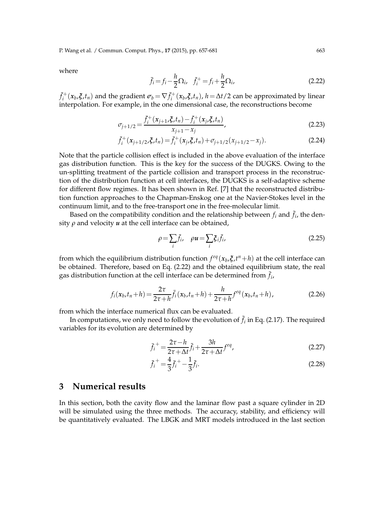P. Wang et al. / Commun. Comput. Phys., **17** (2015), pp. 657-681 663

where

$$
\bar{f}_i = f_i - \frac{h}{2} \Omega_i, \quad \bar{f}_i^+ = f_i + \frac{h}{2} \Omega_i,
$$
\n(2.22)

 $\bar{f}_i^+$  $\int_i^{\tau_+}(x_b,\xi,t_n)$  and the gradient  $\sigma_b = \nabla \bar{f}_i^+$ *i* (*xb* ,*ξ*,*tn*), *h*=∆*t*/2 can be approximated by linear interpolation. For example, in the one dimensional case, the reconstructions become

$$
\sigma_{j+1/2} = \frac{\bar{f}_i^+(x_{j+1}, \xi, t_n) - \bar{f}_i^+(x_j, \xi, t_n)}{x_{j+1} - x_j},
$$
\n(2.23)

$$
\bar{f}_i^+(x_{j+1/2}, \xi, t_n) = \bar{f}_i^+(x_j, \xi, t_n) + \sigma_{j+1/2}(x_{j+1/2} - x_j).
$$
 (2.24)

Note that the particle collision effect is included in the above evaluation of the interface gas distribution function. This is the key for the success of the DUGKS. Owing to the un-splitting treatment of the particle collision and transport process in the reconstruction of the distribution function at cell interfaces, the DUGKS is a self-adaptive scheme for different flow regimes. It has been shown in Ref. [7] that the reconstructed distribution function approaches to the Chapman-Enskog one at the Navier-Stokes level in the continuum limit, and to the free-transport one in the free-molecular limit.

Based on the compatibility condition and the relationship between  $f_i$  and  $\bar{f}_i$ , the density *ρ* and velocity *u* at the cell interface can be obtained,

$$
\rho = \sum_{i} \bar{f}_{i}, \quad \rho u = \sum_{i} \xi_{i} \bar{f}_{i}, \tag{2.25}
$$

from which the equilibrium distribution function  $f^{eq}(x_b, \xi, t^n + h)$  at the cell interface can be obtained. Therefore, based on Eq. (2.22) and the obtained equilibrium state, the real gas distribution function at the cell interface can be determined from  $\bar{f}_i$ ,

$$
f_i(x_b, t_n + h) = \frac{2\tau}{2\tau + h} \bar{f}_i(x_b, t_n + h) + \frac{h}{2\tau + h} f^{eq}(x_b, t_n + h),
$$
\n(2.26)

from which the interface numerical flux can be evaluated.

In computations, we only need to follow the evolution of  $\tilde{f}_i$  in Eq. (2.17). The required variables for its evolution are determined by

$$
\bar{f}_i^+ = \frac{2\tau - h}{2\tau + \Delta t} \tilde{f}_i + \frac{3h}{2\tau + \Delta t} f^{eq},\tag{2.27}
$$

$$
\tilde{f}_i^+ = \frac{4}{3}\bar{f}_i^+ - \frac{1}{3}\tilde{f}_i. \tag{2.28}
$$

### **3 Numerical results**

In this section, both the cavity flow and the laminar flow past a square cylinder in 2D will be simulated using the three methods. The accuracy, stability, and efficiency will be quantitatively evaluated. The LBGK and MRT models introduced in the last section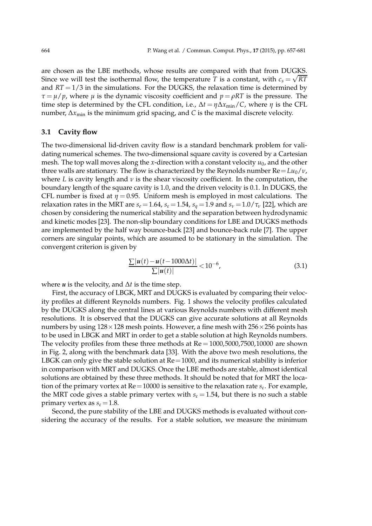are chosen as the LBE methods, whose results are compared with that from DUGKS. Since we will test the isothermal flow, the temperature *T* is a constant, with  $c_s = \sqrt{RT}$ and  $RT = 1/3$  in the simulations. For the DUGKS, the relaxation time is determined by *τ* =  $\mu$ /*p*, where  $\mu$  is the dynamic viscosity coefficient and *p* =  $\rho RT$  is the pressure. The time step is determined by the CFL condition, i.e.,  $\Delta t = \eta \Delta x_{\text{min}}/C$ , where  $\eta$  is the CFL number,  $\Delta x_{\text{min}}$  is the minimum grid spacing, and *C* is the maximal discrete velocity.

### **3.1 Cavity flow**

The two-dimensional lid-driven cavity flow is a standard benchmark problem for validating numerical schemes. The two-dimensional square cavity is covered by a Cartesian mesh. The top wall moves along the *x*-direction with a constant velocity  $u_0$ , and the other three walls are stationary. The flow is characterized by the Reynolds number  $Re = Lu_0/v$ , where *L* is cavity length and *ν* is the shear viscosity coefficient. In the computation, the boundary length of the square cavity is 1.0, and the driven velocity is 0.1. In DUGKS, the CFL number is fixed at  $\eta = 0.95$ . Uniform mesh is employed in most calculations. The relaxation rates in the MRT are  $s_e = 1.64$ ,  $s_e = 1.54$ ,  $s_q = 1.9$  and  $s_v = 1.0 / \tau_v$  [22], which are chosen by considering the numerical stability and the separation between hydrodynamic and kinetic modes [23]. The non-slip boundary conditions for LBE and DUGKS methods are implemented by the half way bounce-back [23] and bounce-back rule [7]. The upper corners are singular points, which are assumed to be stationary in the simulation. The convergent criterion is given by

$$
\frac{\sum |u(t) - u(t - 1000\Delta t)|}{\sum |u(t)|} < 10^{-6},\tag{3.1}
$$

where *u* is the velocity, and ∆*t* is the time step.

First, the accuracy of LBGK, MRT and DUGKS is evaluated by comparing their velocity profiles at different Reynolds numbers. Fig. 1 shows the velocity profiles calculated by the DUGKS along the central lines at various Reynolds numbers with different mesh resolutions. It is observed that the DUGKS can give accurate solutions at all Reynolds numbers by using  $128 \times 128$  mesh points. However, a fine mesh with  $256 \times 256$  points has to be used in LBGK and MRT in order to get a stable solution at high Reynolds numbers. The velocity profiles from these three methods at  $Re = 1000,5000,7500,10000$  are shown in Fig. 2, along with the benchmark data [33]. With the above two mesh resolutions, the LBGK can only give the stable solution at  $Re = 1000$ , and its numerical stability is inferior in comparison with MRT and DUGKS. Once the LBE methods are stable, almost identical solutions are obtained by these three methods. It should be noted that for MRT the location of the primary vortex at Re=10000 is sensitive to the relaxation rate *s<sup>ε</sup>* . For example, the MRT code gives a stable primary vertex with  $s_{\varepsilon} = 1.54$ , but there is no such a stable primary vertex as  $s<sub>e</sub> = 1.8$ .

Second, the pure stability of the LBE and DUGKS methods is evaluated without considering the accuracy of the results. For a stable solution, we measure the minimum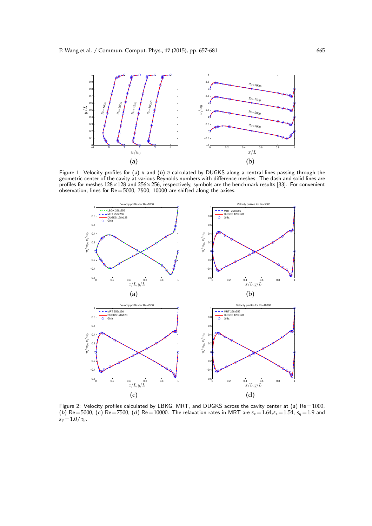

Figure 1: Velocity profiles for (a) *u* and (b) *v* calculated by DUGKS along a central lines passing through the geometric center of the cavity at various Reynolds numbers with difference meshes. The dash and solid lines are profiles for meshes  $128\times128$  and  $256\times256$ , respectively, symbols are the benchmark results [33]. For convenient observation, lines for  $Re = 5000$ , 7500, 10000 are shifted along the axises.



Figure 2: Velocity profiles calculated by LBKG, MRT, and DUGKS across the cavity center at (a)  $Re = 1000$ , (b) Re=5000, (c) Re=7500, (d) Re=10000. The relaxation rates in MRT are  $s_e = 1.64$ ,  $s_e = 1.54$ ,  $s_q = 1.9$  and  $s_v = 1.0 / \tau_v$ .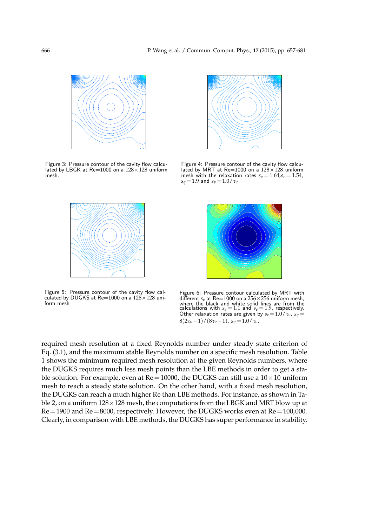

Figure 3: Pressure contour of the cavity flow calculated by LBGK at Re=1000 on a  $128\times128$  uniform mesh.



Figure 5: Pressure contour of the cavity flow calculated by DUGKS at Re=1000 on a  $128 \times 128$  uniform mesh



Figure 4: Pressure contour of the cavity flow calculated by MRT at Re=1000 on a  $128\times128$  uniform mesh with the relaxation rates  $s_e = 1.64$ ,  $s_{\varepsilon} = 1.54$ ,  $s_q = 1.9$  and  $s_v = 1.0 / \tau_v$ 



Figure 6: Pressure contour calculated by MRT with different  $s_e$  at Re=1000 on a 256 $\times$ 256 uniform mesh, where the black and white solid lines are from the<br>calculations with  $s_e = 1.1$  and  $s_e = 1.9$ , respectively. Other relaxation rates are given by  $s_{\varepsilon} = 1.0 / \tau_{\nu}$ ,  $s_{q} =$  $8(2\tau_{\nu}-1)/(8\tau_{\nu}-1), s_{\nu}=1.0/\tau_{\nu}.$ 

required mesh resolution at a fixed Reynolds number under steady state criterion of Eq. (3.1), and the maximum stable Reynolds number on a specific mesh resolution. Table 1 shows the minimum required mesh resolution at the given Reynolds numbers, where the DUGKS requires much less mesh points than the LBE methods in order to get a stable solution. For example, even at  $Re = 10000$ , the DUGKS can still use a  $10 \times 10$  uniform mesh to reach a steady state solution. On the other hand, with a fixed mesh resolution, the DUGKS can reach a much higher Re than LBE methods. For instance, as shown in Table 2, on a uniform  $128 \times 128$  mesh, the computations from the LBGK and MRT blow up at  $Re = 1900$  and  $Re = 8000$ , respectively. However, the DUGKS works even at  $Re = 100,000$ . Clearly, in comparison with LBE methods, the DUGKS has super performance in stability.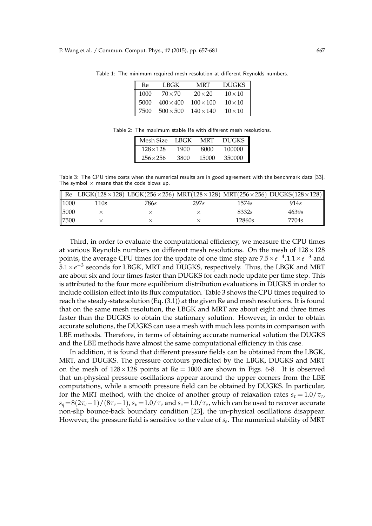| Re   | LBGK           | MRT              | DUGKS        |
|------|----------------|------------------|--------------|
| 1000 | $70 \times 70$ | $20 \times 20$   | $10\times10$ |
| 5000 | $400\times400$ | $100 \times 100$ | $10\times10$ |
| 7500 | $500\times500$ | $140 \times 140$ | $10\times10$ |

Table 1: The minimum required mesh resolution at different Reynolds numbers.

Table 2: The maximum stable Re with different mesh resolutions.

| Mesh Size LBGK                                      |      | - MRT | DUGKS  |
|-----------------------------------------------------|------|-------|--------|
| $128\times128$                                      | 1900 | 8000  | 100000 |
| $\begin{array}{ c c }\n256 \times 256\n\end{array}$ | 3800 | 15000 | 350000 |

Table 3: The CPU time costs when the numerical results are in good agreement with the benchmark data [33]. The symbol  $\times$  means that the code blows up.

|      |      |      |      |        | Re LBGK(128×128) LBGK(256×256) MRT(128×128) MRT(256×256) DUGKS(128×128) |
|------|------|------|------|--------|-------------------------------------------------------------------------|
| 1000 | 110s | 786s | 297s | 1574s  | 914s                                                                    |
| 5000 |      |      |      | 8332s  | 4639s                                                                   |
| 7500 |      |      |      | 12860s | 7704s                                                                   |

Third, in order to evaluate the computational efficiency, we measure the CPU times at various Reynolds numbers on different mesh resolutions. On the mesh of  $128 \times 128$ points, the average CPU times for the update of one time step are  $7.5 \times e^{-4}$ ,  $1.1 \times e^{-3}$  and 5.1 × *e*<sup>-3</sup> seconds for LBGK, MRT and DUGKS, respectively. Thus, the LBGK and MRT are about six and four times faster than DUGKS for each node update per time step. This is attributed to the four more equilibrium distribution evaluations in DUGKS in order to include collision effect into its flux computation. Table 3 shows the CPU times required to reach the steady-state solution (Eq. (3.1)) at the given Re and mesh resolutions. It is found that on the same mesh resolution, the LBGK and MRT are about eight and three times faster than the DUGKS to obtain the stationary solution. However, in order to obtain accurate solutions, the DUGKS can use a mesh with much less points in comparison with LBE methods. Therefore, in terms of obtaining accurate numerical solution the DUGKS and the LBE methods have almost the same computational efficiency in this case.

In addition, it is found that different pressure fields can be obtained from the LBGK, MRT, and DUGKS. The pressure contours predicted by the LBGK, DUGKS and MRT on the mesh of  $128 \times 128$  points at Re = 1000 are shown in Figs. 6-8. It is observed that un-physical pressure oscillations appear around the upper corners from the LBE computations, while a smooth pressure field can be obtained by DUGKS. In particular, for the MRT method, with the choice of another group of relaxation rates  $s_{\varepsilon} = 1.0/\tau_{\nu}$ ,  $s_q = 8(2\tau_\nu-1)/(8\tau_\nu-1)$ ,  $s_\nu = 1.0/\tau_\nu$  and  $s_e = 1.0/\tau_\nu$ , which can be used to recover accurate non-slip bounce-back boundary condition [23], the un-physical oscillations disappear. However, the pressure field is sensitive to the value of *s<sup>e</sup>* . The numerical stability of MRT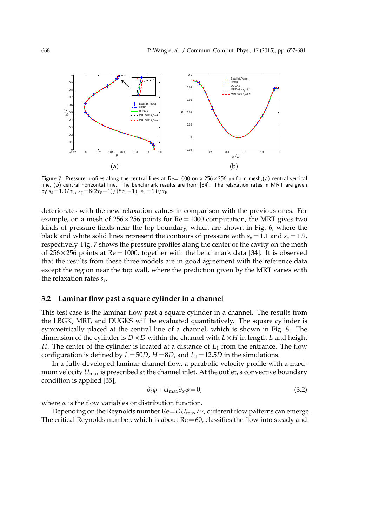

Figure 7: Pressure profiles along the central lines at Re=1000 on a  $256 \times 256$  uniform mesh,(a) central vertical line, (b) central horizontal line. The benchmark results are from [34]. The relaxation rates in MRT are given by  $s_{\varepsilon} = 1.0/\tau_{\nu}$ ,  $s_{q} = 8(2\tau_{\nu}-1)/(8\tau_{\nu}-1)$ ,  $s_{\nu} = 1.0/\tau_{\nu}$ .

deteriorates with the new relaxation values in comparison with the previous ones. For example, on a mesh of  $256 \times 256$  points for  $Re = 1000$  computation, the MRT gives two kinds of pressure fields near the top boundary, which are shown in Fig. 6, where the black and white solid lines represent the contours of pressure with  $s_e = 1.1$  and  $s_e = 1.9$ , respectively. Fig. 7 shows the pressure profiles along the center of the cavity on the mesh of  $256 \times 256$  points at Re = 1000, together with the benchmark data [34]. It is observed that the results from these three models are in good agreement with the reference data except the region near the top wall, where the prediction given by the MRT varies with the relaxation rates *s<sup>e</sup>* .

### **3.2 Laminar flow past a square cylinder in a channel**

This test case is the laminar flow past a square cylinder in a channel. The results from the LBGK, MRT, and DUGKS will be evaluated quantitatively. The square cylinder is symmetrically placed at the central line of a channel, which is shown in Fig. 8. The dimension of the cylinder is  $D \times D$  within the channel with  $L \times H$  in length *L* and height *H*. The center of the cylinder is located at a distance of  $L_1$  from the entrance. The flow configuration is defined by  $L = 50D$ ,  $H = 8D$ , and  $L_1 = 12.5D$  in the simulations.

In a fully developed laminar channel flow, a parabolic velocity profile with a maximum velocity  $U_{\text{max}}$  is prescribed at the channel inlet. At the outlet, a convective boundary condition is applied [35],

$$
\partial_t \varphi + U_{\text{max}} \partial_x \varphi = 0, \tag{3.2}
$$

where  $\varphi$  is the flow variables or distribution function.

Depending on the Reynolds number Re=*DU*max/*ν*, different flow patterns can emerge. The critical Reynolds number, which is about  $Re = 60$ , classifies the flow into steady and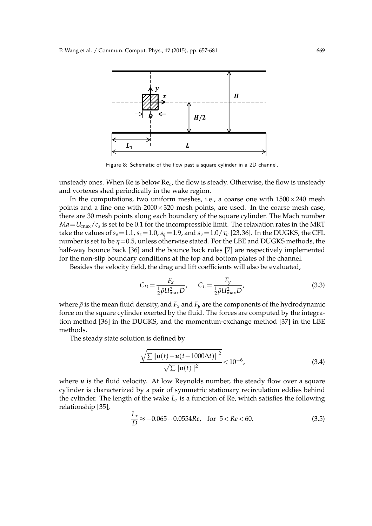

Figure 8: Schematic of the flow past a square cylinder in a 2D channel.

unsteady ones. When Re is below Re*<sup>c</sup>* , the flow is steady. Otherwise, the flow is unsteady and vortexes shed periodically in the wake region.

In the computations, two uniform meshes, i.e., a coarse one with  $1500 \times 240$  mesh points and a fine one with  $2000 \times 320$  mesh points, are used. In the coarse mesh case, there are 30 mesh points along each boundary of the square cylinder. The Mach number  $\it{Ma}\!=\!U_{\rm max}/c_s$  is set to be 0.1 for the incompressible limit. The relaxation rates in the MRT take the values of  $s_e$  = 1.1,  $s_{\varepsilon}$  = 1.0,  $s_q$  = 1.9, and  $s_v$  = 1.0/ $\tau_v$  [23, 36]. In the DUGKS, the CFL number is set to be *η*=0.5, unless otherwise stated. For the LBE and DUGKS methods, the half-way bounce back [36] and the bounce back rules [7] are respectively implemented for the non-slip boundary conditions at the top and bottom plates of the channel.

Besides the velocity field, the drag and lift coefficients will also be evaluated,

$$
C_D = \frac{F_x}{\frac{1}{2}\bar{\rho}U_{\text{max}}^2 D'}, \qquad C_L = \frac{F_y}{\frac{1}{2}\bar{\rho}U_{\text{max}}^2 D'}
$$
(3.3)

where  $\bar{\rho}$  is the mean fluid density, and  $F_x$  and  $F_y$  are the components of the hydrodynamic force on the square cylinder exerted by the fluid. The forces are computed by the integration method [36] in the DUGKS, and the momentum-exchange method [37] in the LBE methods.

The steady state solution is defined by

$$
\frac{\sqrt{\sum ||u(t) - u(t - 1000\Delta t)||^2}}{\sqrt{\sum ||u(t)||^2}} < 10^{-6},
$$
\n(3.4)

where *u* is the fluid velocity. At low Reynolds number, the steady flow over a square cylinder is characterized by a pair of symmetric stationary recirculation eddies behind the cylinder. The length of the wake *L<sup>r</sup>* is a function of Re, which satisfies the following relationship [35],

$$
\frac{L_r}{D} \approx -0.065 + 0.0554 Re, \text{ for } 5 < Re < 60. \tag{3.5}
$$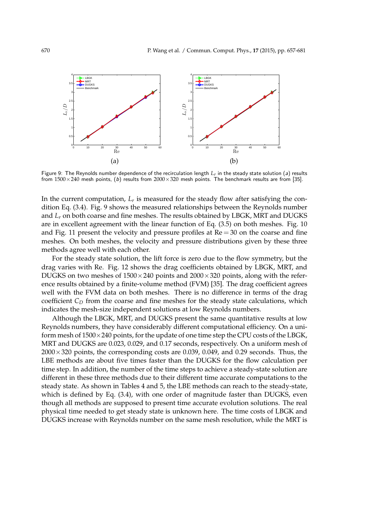

Figure 9: The Reynolds number dependence of the recirculation length *L<sup>r</sup>* in the steady state solution (a) results from  $1500 \times 240$  mesh points, (b) results from  $2000 \times 320$  mesh points. The benchmark results are from [35].

In the current computation, *L<sup>r</sup>* is measured for the steady flow after satisfying the condition Eq. (3.4). Fig. 9 shows the measured relationships between the Reynolds number and *L<sup>r</sup>* on both coarse and fine meshes. The results obtained by LBGK, MRT and DUGKS are in excellent agreement with the linear function of Eq. (3.5) on both meshes. Fig. 10 and Fig. 11 present the velocity and pressure profiles at  $Re = 30$  on the coarse and fine meshes. On both meshes, the velocity and pressure distributions given by these three methods agree well with each other.

For the steady state solution, the lift force is zero due to the flow symmetry, but the drag varies with Re. Fig. 12 shows the drag coefficients obtained by LBGK, MRT, and DUGKS on two meshes of  $1500 \times 240$  points and  $2000 \times 320$  points, along with the reference results obtained by a finite-volume method (FVM) [35]. The drag coefficient agrees well with the FVM data on both meshes. There is no difference in terms of the drag coefficient  $C_D$  from the coarse and fine meshes for the steady state calculations, which indicates the mesh-size independent solutions at low Reynolds numbers.

Although the LBGK, MRT, and DUGKS present the same quantitative results at low Reynolds numbers, they have considerably different computational efficiency. On a uniform mesh of  $1500\times240$  points, for the update of one time step the CPU costs of the LBGK, MRT and DUGKS are 0.023, 0.029, and 0.17 seconds, respectively. On a uniform mesh of  $2000 \times 320$  points, the corresponding costs are 0.039, 0.049, and 0.29 seconds. Thus, the LBE methods are about five times faster than the DUGKS for the flow calculation per time step. In addition, the number of the time steps to achieve a steady-state solution are different in these three methods due to their different time accurate computations to the steady state. As shown in Tables 4 and 5, the LBE methods can reach to the steady-state, which is defined by Eq. (3.4), with one order of magnitude faster than DUGKS, even though all methods are supposed to present time accurate evolution solutions. The real physical time needed to get steady state is unknown here. The time costs of LBGK and DUGKS increase with Reynolds number on the same mesh resolution, while the MRT is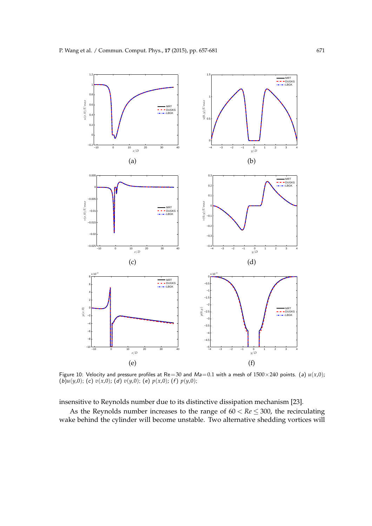

Figure 10: Velocity and pressure profiles at Re=30 and  $Ma=0.1$  with a mesh of  $1500 \times 240$  points. (a)  $u(x,0)$ ; (b)*u*(*y*,0); (c) *v*(*x*,0); (d) *v*(*y*,0); (e) *p*(*x*,0); (f ) *p*(*y*,0);

insensitive to Reynolds number due to its distinctive dissipation mechanism [23].

As the Reynolds number increases to the range of  $60 < Re \leq 300$ , the recirculating wake behind the cylinder will become unstable. Two alternative shedding vortices will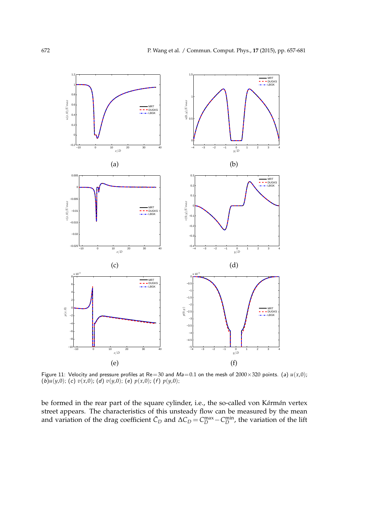

Figure 11: Velocity and pressure profiles at Re=30 and  $Ma=0.1$  on the mesh of 2000 × 320 points. (a)  $u(x,0)$ ; (b)*u*(*y*,0); (c) *v*(*x*,0); (d) *v*(*y*,0); (e) *p*(*x*,0); (f ) *p*(*y*,0);

be formed in the rear part of the square cylinder, i.e., the so-called von Kármán vertex street appears. The characteristics of this unsteady flow can be measured by the mean and variation of the drag coefficient  $\bar{C}_D$  and  $\Delta C_D = C_D^{\max} - C_D^{\min}$ , the variation of the lift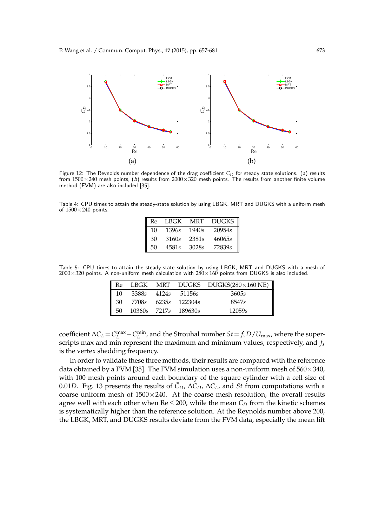

Figure 12: The Reynolds number dependence of the drag coefficient *C<sup>D</sup>* for steady state solutions. (a) results from  $1500\times240$  mesh points, (b) results from  $2000\times320$  mesh points. The results from another finite volume method (FVM) are also included [35].

Table 4: CPU times to attain the steady-state solution by using LBGK, MRT and DUGKS with a uniform mesh of  $1500 \times 240$  points.

| Re | LBGK          | MRT   | <b>DUGKS</b> |
|----|---------------|-------|--------------|
| 10 | 1396s         | 1940s | 20954s       |
| 30 | 3160s         | 2381s | 46065s       |
| 50 | 4581 <i>s</i> | 3028s | 72839s       |

Table 5: CPU times to attain the steady-state solution by using LBGK, MRT and DUGKS with a mesh of  $2000\times320$  points. A non-uniform mesh calculation with  $280\times160$  points from DUGKS is also included.

|                         |                                     | $\parallel$ Re LBGK MRT DUGKS DUGKS(280×160 NE) |
|-------------------------|-------------------------------------|-------------------------------------------------|
| 10 3388s $4124s$ 51156s |                                     | 3605s                                           |
|                         | $\parallel$ 30 7708s 6235s 122304s  | 8547s                                           |
|                         | $\parallel$ 50 10360s 7217s 189630s | 12059s                                          |

 $\text{coefficient } \Delta C_L = C_L^{\max} - C_L^{\min}$ , and the Strouhal number  $St = f_s D / U_{\max}$ , where the superscripts max and min represent the maximum and minimum values, respectively, and *f<sup>s</sup>* is the vertex shedding frequency.

In order to validate these three methods, their results are compared with the reference data obtained by a FVM [35]. The FVM simulation uses a non-uniform mesh of  $560 \times 340$ , with 100 mesh points around each boundary of the square cylinder with a cell size of 0.01*D*. Fig. 13 presents the results of  $\bar{C}_D$ ,  $\Delta C_D$ ,  $\Delta C_L$ , and *St* from computations with a coarse uniform mesh of  $1500 \times 240$ . At the coarse mesh resolution, the overall results agree well with each other when  $\text{Re} \leq 200$ , while the mean  $C_D$  from the kinetic schemes is systematically higher than the reference solution. At the Reynolds number above 200, the LBGK, MRT, and DUGKS results deviate from the FVM data, especially the mean lift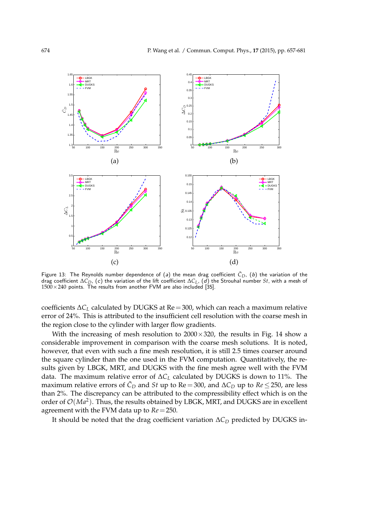

Figure 13: The Reynolds number dependence of (a) the mean drag coefficient  $\bar{C}_D$ , (b) the variation of the drag coefficient ∆*CD*, (c) the variation of the lift coefficient ∆*CL*, (d) the Strouhal number *St*, with a mesh of  $1500\times240$  points. The results from another FVM are also included [35].

coefficients ∆*C<sup>L</sup>* calculated by DUGKS at Re=300, which can reach a maximum relative error of 24%. This is attributed to the insufficient cell resolution with the coarse mesh in the region close to the cylinder with larger flow gradients.

With the increasing of mesh resolution to  $2000 \times 320$ , the results in Fig. 14 show a considerable improvement in comparison with the coarse mesh solutions. It is noted, however, that even with such a fine mesh resolution, it is still 2.5 times coarser around the square cylinder than the one used in the FVM computation. Quantitatively, the results given by LBGK, MRT, and DUGKS with the fine mesh agree well with the FVM data. The maximum relative error of ∆*C<sup>L</sup>* calculated by DUGKS is down to 11%. The maximum relative errors of  $\bar{C}_D$  and *St* up to Re = 300, and  $\Delta C_D$  up to  $Re \le 250$ , are less than 2%. The discrepancy can be attributed to the compressibility effect which is on the order of  $\mathcal{O}(Ma^2)$ . Thus, the results obtained by LBGK, MRT, and DUGKS are in excellent agreement with the FVM data up to *Re*=250.

It should be noted that the drag coefficient variation  $\Delta C$ *D* predicted by DUGKS in-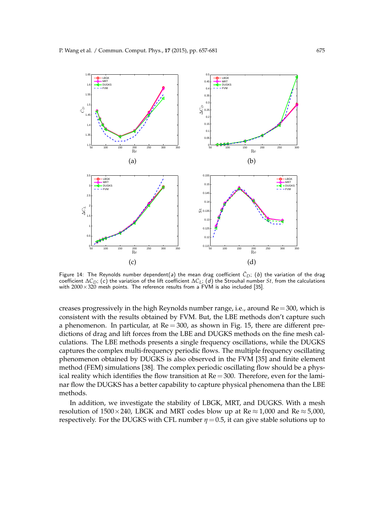

Figure 14: The Reynolds number dependent(a) the mean drag coefficient  $\bar{C}_D$ ; (b) the variation of the drag coefficient ∆*CD*; (c) the variation of the lift coefficient ∆*CL*; (d) the Strouhal number *St*, from the calculations with  $2000 \times 320$  mesh points. The reference results from a FVM is also included [35].

creases progressively in the high Reynolds number range, i.e., around  $Re = 300$ , which is consistent with the results obtained by FVM. But, the LBE methods don't capture such a phenomenon. In particular, at  $Re = 300$ , as shown in Fig. 15, there are different predictions of drag and lift forces from the LBE and DUGKS methods on the fine mesh calculations. The LBE methods presents a single frequency oscillations, while the DUGKS captures the complex multi-frequency periodic flows. The multiple frequency oscillating phenomenon obtained by DUGKS is also observed in the FVM [35] and finite element method (FEM) simulations [38]. The complex periodic oscillating flow should be a physical reality which identifies the flow transition at  $Re = 300$ . Therefore, even for the laminar flow the DUGKS has a better capability to capture physical phenomena than the LBE methods.

In addition, we investigate the stability of LBGK, MRT, and DUGKS. With a mesh resolution of 1500×240, LBGK and MRT codes blow up at  $\text{Re} \approx 1,000$  and  $\text{Re} \approx 5,000$ , respectively. For the DUGKS with CFL number  $\eta = 0.5$ , it can give stable solutions up to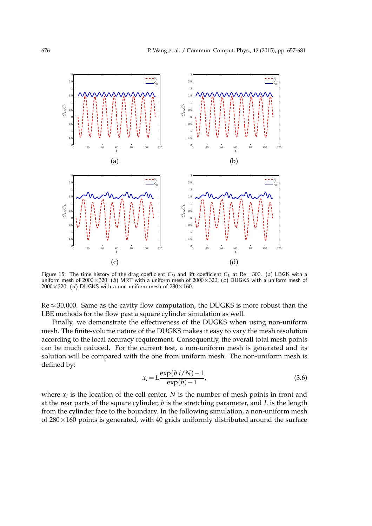

Figure 15: The time history of the drag coefficient *C<sup>D</sup>* and lift coefficient *C<sup>L</sup>* at Re=300. (a) LBGK with a uniform mesh of  $2000\times320$ ; (b) MRT with a uniform mesh of  $2000\times320$ ; (c) DUGKS with a uniform mesh of  $2000\times320$ ; (d) DUGKS with a non-uniform mesh of  $280\times160$ .

Re≈ 30,000. Same as the cavity flow computation, the DUGKS is more robust than the LBE methods for the flow past a square cylinder simulation as well.

Finally, we demonstrate the effectiveness of the DUGKS when using non-uniform mesh. The finite-volume nature of the DUGKS makes it easy to vary the mesh resolution according to the local accuracy requirement. Consequently, the overall total mesh points can be much reduced. For the current test, a non-uniform mesh is generated and its solution will be compared with the one from uniform mesh. The non-uniform mesh is defined by:

$$
x_i = L \frac{\exp(b \ i/N) - 1}{\exp(b) - 1},\tag{3.6}
$$

where  $x_i$  is the location of the cell center,  $N$  is the number of mesh points in front and at the rear parts of the square cylinder, *b* is the stretching parameter, and *L* is the length from the cylinder face to the boundary. In the following simulation, a non-uniform mesh of  $280 \times 160$  points is generated, with 40 grids uniformly distributed around the surface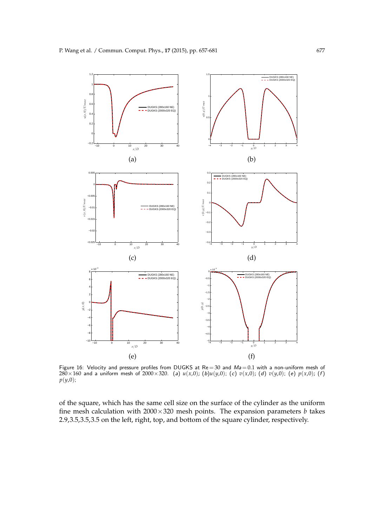

Figure 16: Velocity and pressure profiles from DUGKS at  $Re = 30$  and  $Ma = 0.1$  with a non-uniform mesh of 280×160 and a uniform mesh of 2000×320. (a)  $u(x,0)$ ; (b) $u(y,0)$ ; (c)  $v(x,0)$ ; (d)  $v(y,0)$ ; (e)  $p(x,0)$ ; (f) *p*(*y*,0);

of the square, which has the same cell size on the surface of the cylinder as the uniform fine mesh calculation with  $2000 \times 320$  mesh points. The expansion parameters *b* takes 2.9,3.5,3.5,3.5 on the left, right, top, and bottom of the square cylinder, respectively.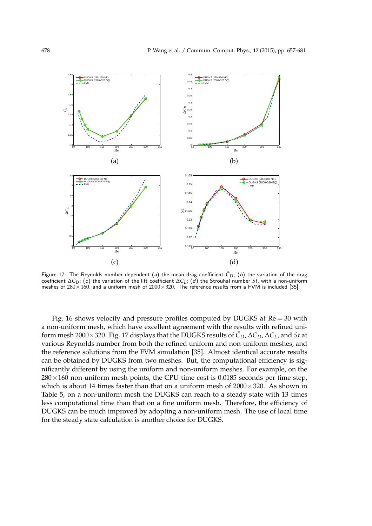

Figure 17: The Reynolds number dependent (a) the mean drag coefficient  $\bar{C}_D$ ; (b) the variation of the drag coefficient ∆*CD*; (c) the variation of the lift coefficient ∆*CL*; (d) the Strouhal number *St*, with a non-uniform meshes of  $280 \times 160$ , and a uniform mesh of  $2000 \times 320$ . The reference results from a FVM is included [35].

Fig. 16 shows velocity and pressure profiles computed by DUGKS at  $Re = 30$  with a non-uniform mesh, which have excellent agreement with the results with refined uniform mesh 2000×320. Fig. 17 displays that the DUGKS results of  $\bar{C}_D$ ,  $\Delta C_D$ ,  $\Delta C_L$ , and *St* at various Reynolds number from both the refined uniform and non-uniform meshes, and the reference solutions from the FVM simulation [35]. Almost identical accurate results can be obtained by DUGKS from two meshes. But, the computational efficiency is significantly different by using the uniform and non-uniform meshes. For example, on the  $280\times160$  non-uniform mesh points, the CPU time cost is 0.0185 seconds per time step, which is about 14 times faster than that on a uniform mesh of  $2000 \times 320$ . As shown in Table 5, on a non-uniform mesh the DUGKS can reach to a steady state with 13 times less computational time than that on a fine uniform mesh. Therefore, the efficiency of DUGKS can be much improved by adopting a non-uniform mesh. The use of local time for the steady state calculation is another choice for DUGKS.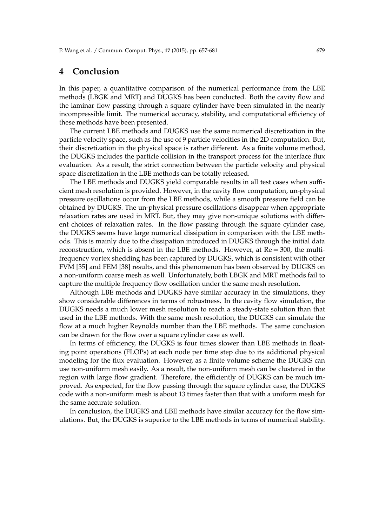# **4 Conclusion**

In this paper, a quantitative comparison of the numerical performance from the LBE methods (LBGK and MRT) and DUGKS has been conducted. Both the cavity flow and the laminar flow passing through a square cylinder have been simulated in the nearly incompressible limit. The numerical accuracy, stability, and computational efficiency of these methods have been presented.

The current LBE methods and DUGKS use the same numerical discretization in the particle velocity space, such as the use of 9 particle velocities in the 2D computation. But, their discretization in the physical space is rather different. As a finite volume method, the DUGKS includes the particle collision in the transport process for the interface flux evaluation. As a result, the strict connection between the particle velocity and physical space discretization in the LBE methods can be totally released.

The LBE methods and DUGKS yield comparable results in all test cases when sufficient mesh resolution is provided. However, in the cavity flow computation, un-physical pressure oscillations occur from the LBE methods, while a smooth pressure field can be obtained by DUGKS. The un-physical pressure oscillations disappear when appropriate relaxation rates are used in MRT. But, they may give non-unique solutions with different choices of relaxation rates. In the flow passing through the square cylinder case, the DUGKS seems have large numerical dissipation in comparison with the LBE methods. This is mainly due to the dissipation introduced in DUGKS through the initial data reconstruction, which is absent in the LBE methods. However, at  $Re = 300$ , the multifrequency vortex shedding has been captured by DUGKS, which is consistent with other FVM [35] and FEM [38] results, and this phenomenon has been observed by DUGKS on a non-uniform coarse mesh as well. Unfortunately, both LBGK and MRT methods fail to capture the multiple frequency flow oscillation under the same mesh resolution.

Although LBE methods and DUGKS have similar accuracy in the simulations, they show considerable differences in terms of robustness. In the cavity flow simulation, the DUGKS needs a much lower mesh resolution to reach a steady-state solution than that used in the LBE methods. With the same mesh resolution, the DUGKS can simulate the flow at a much higher Reynolds number than the LBE methods. The same conclusion can be drawn for the flow over a square cylinder case as well.

In terms of efficiency, the DUGKS is four times slower than LBE methods in floating point operations (FLOPs) at each node per time step due to its additional physical modeling for the flux evaluation. However, as a finite volume scheme the DUGKS can use non-uniform mesh easily. As a result, the non-uniform mesh can be clustered in the region with large flow gradient. Therefore, the efficiently of DUGKS can be much improved. As expected, for the flow passing through the square cylinder case, the DUGKS code with a non-uniform mesh is about 13 times faster than that with a uniform mesh for the same accurate solution.

In conclusion, the DUGKS and LBE methods have similar accuracy for the flow simulations. But, the DUGKS is superior to the LBE methods in terms of numerical stability.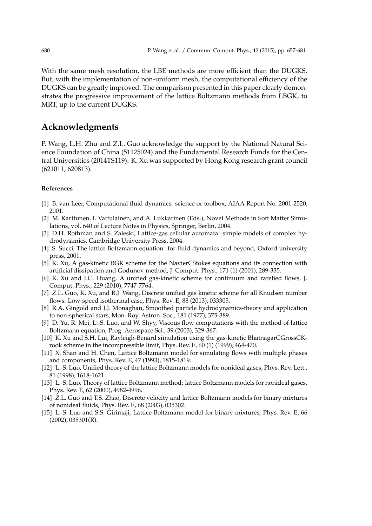With the same mesh resolution, the LBE methods are more efficient than the DUGKS. But, with the implementation of non-uniform mesh, the computational efficiency of the DUGKS can be greatly improved. The comparison presented in this paper clearly demonstrates the progressive improvement of the lattice Boltzmann methods from LBGK, to MRT, up to the current DUGKS.

# **Acknowledgments**

P. Wang, L.H. Zhu and Z.L. Guo acknowledge the support by the National Natural Science Foundation of China (51125024) and the Fundamental Research Funds for the Central Universities (2014TS119). K. Xu was supported by Hong Kong research grant council (621011, 620813).

#### **References**

- [1] B. van Leer, Computational fluid dynamics: science or toolbox, AIAA Report No. 2001-2520, 2001.
- [2] M. Karttunen, I. Vattulainen, and A. Lukkarinen (Eds.), Novel Methods in Soft Matter Simulations, vol. 640 of Lecture Notes in Physics, Springer, Berlin, 2004.
- [3] D.H. Rothman and S. Zaleski, Lattice-gas cellular automata: simple models of complex hydrodynamics, Cambridge University Press, 2004.
- [4] S. Succi, The lattice Boltzmann equation: for fluid dynamics and beyond, Oxford university press, 2001.
- [5] K. Xu, A gas-kinetic BGK scheme for the NavierCStokes equations and its connection with artificial dissipation and Godunov method, J. Comput. Phys., 171 (1) (2001), 289-335.
- [6] K. Xu and J.C. Huang, A unified gas-kinetic scheme for continuum and rarefied flows, J. Comput. Phys., 229 (2010), 7747-7764.
- [7] Z.L. Guo, K. Xu, and R.J. Wang, Discrete unified gas kinetic scheme for all Knudsen number flows: Low-speed isothermal case, Phys. Rev. E, 88 (2013), 033305.
- [8] R.A. Gingold and J.J. Monaghan, Smoothed particle hydrodynamics-theory and application to non-spherical stars, Mon. Roy. Astron. Soc., 181 (1977), 375-389.
- [9] D. Yu, R. Mei, L.-S. Luo, and W. Shyy, Viscous flow computations with the method of lattice Boltzmann equation, Prog. Aerospace Sci., 39 (2003), 329-367.
- [10] K. Xu and S.H. Lui, Rayleigh-Benard simulation using the gas-kinetic BhatnagarCGrossCKrook scheme in the incompressible limit, Phys. Rev. E, 60 (1) (1999), 464-470.
- [11] X. Shan and H. Chen, Lattice Boltzmann model for simulating flows with multiple phases and components, Phys. Rev. E, 47 (1993), 1815-1819.
- [12] L.-S. Luo, Unified theory of the lattice Boltzmann models for nonideal gases, Phys. Rev. Lett., 81 (1998), 1618-1621.
- [13] L.-S. Luo, Theory of lattice Boltzmann method: lattice Boltzmann models for nonideal gases, Phys. Rev. E, 62 (2000), 4982-4996.
- [14] Z.L. Guo and T.S. Zhao, Discrete velocity and lattice Boltzmann models for binary mixtures of nonideal fluids, Phys. Rev. E, 68 (2003), 035302.
- [15] L.-S. Luo and S.S. Girimaji, Lattice Boltzmann model for binary mixtures, Phys. Rev. E, 66 (2002), 035301(R).